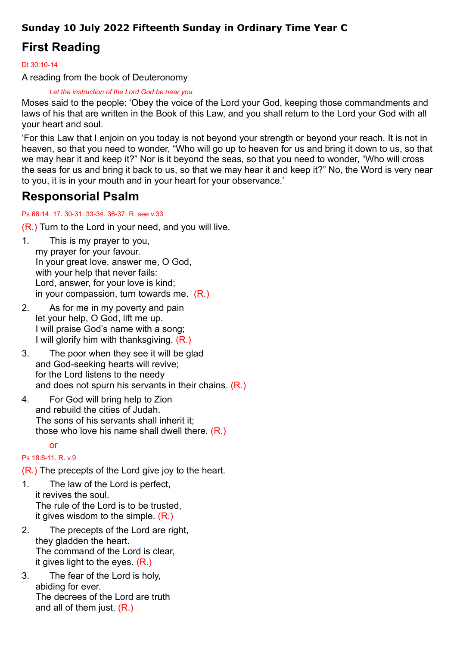### Sunday 10 July 2022 Fifteenth Sunday in Ordinary Time Year C

# First Reading

Dt 30:10-14

A reading from the book of Deuteronomy

Let the instruction of the Lord God be near you.

Moses said to the people: 'Obey the voice of the Lord your God, keeping those commandments and laws of his that are written in the Book of this Law, and you shall return to the Lord your God with all your heart and soul.

'For this Law that I enjoin on you today is not beyond your strength or beyond your reach. It is not in heaven, so that you need to wonder, "Who will go up to heaven for us and bring it down to us, so that we may hear it and keep it?" Nor is it beyond the seas, so that you need to wonder, "Who will cross the seas for us and bring it back to us, so that we may hear it and keep it?" No, the Word is very near to you, it is in your mouth and in your heart for your observance.'

## Responsorial Psalm

### Ps 68:14. 17. 30-31. 33-34. 36-37. R. see v.33

(R.) Turn to the Lord in your need, and you will live.

- 1. This is my prayer to you, my prayer for your favour. In your great love, answer me, O God, with your help that never fails: Lord, answer, for your love is kind; in your compassion, turn towards me. (R.)
- 2. As for me in my poverty and pain let your help, O God, lift me up. I will praise God's name with a song; I will glorify him with thanksgiving. (R.)
- 3. The poor when they see it will be glad and God-seeking hearts will revive; for the Lord listens to the needy and does not spurn his servants in their chains. (R.)
- 4. For God will bring help to Zion and rebuild the cities of Judah. The sons of his servants shall inherit it; those who love his name shall dwell there. (R.)

#### or

### Ps 18:8-11. R. v.9

(R.) The precepts of the Lord give joy to the heart.

- 1. The law of the Lord is perfect, it revives the soul. The rule of the Lord is to be trusted, it gives wisdom to the simple. (R.)
- 2. The precepts of the Lord are right, they gladden the heart. The command of the Lord is clear, it gives light to the eyes.  $(R<sub>1</sub>)$
- 3. The fear of the Lord is holy, abiding for ever. The decrees of the Lord are truth and all of them just. (R.)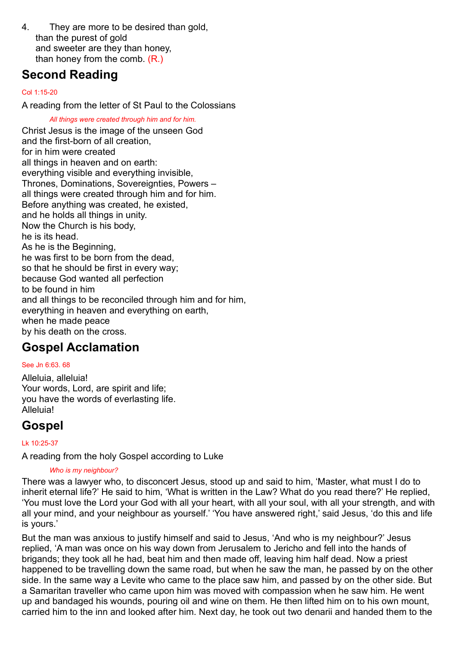4. They are more to be desired than gold, than the purest of gold and sweeter are they than honey, than honey from the comb. (R.)

## Second Reading

#### Col 1:15-20

A reading from the letter of St Paul to the Colossians

All things were created through him and for him. Christ Jesus is the image of the unseen God and the first-born of all creation, for in him were created all things in heaven and on earth: everything visible and everything invisible, Thrones, Dominations, Sovereignties, Powers – all things were created through him and for him. Before anything was created, he existed, and he holds all things in unity. Now the Church is his body, he is its head. As he is the Beginning, he was first to be born from the dead, so that he should be first in every way; because God wanted all perfection to be found in him and all things to be reconciled through him and for him, everything in heaven and everything on earth, when he made peace by his death on the cross.

### Gospel Acclamation

#### See Jn 6:63. 68

Alleluia, alleluia! Your words, Lord, are spirit and life; you have the words of everlasting life. Alleluia!

### Gospel

Lk 10:25-37

A reading from the holy Gospel according to Luke

#### Who is my neighbour?

There was a lawyer who, to disconcert Jesus, stood up and said to him, 'Master, what must I do to inherit eternal life?' He said to him, 'What is written in the Law? What do you read there?' He replied, 'You must love the Lord your God with all your heart, with all your soul, with all your strength, and with all your mind, and your neighbour as yourself.' 'You have answered right,' said Jesus, 'do this and life is yours.'

But the man was anxious to justify himself and said to Jesus, 'And who is my neighbour?' Jesus replied, 'A man was once on his way down from Jerusalem to Jericho and fell into the hands of brigands; they took all he had, beat him and then made off, leaving him half dead. Now a priest happened to be travelling down the same road, but when he saw the man, he passed by on the other side. In the same way a Levite who came to the place saw him, and passed by on the other side. But a Samaritan traveller who came upon him was moved with compassion when he saw him. He went up and bandaged his wounds, pouring oil and wine on them. He then lifted him on to his own mount, carried him to the inn and looked after him. Next day, he took out two denarii and handed them to the